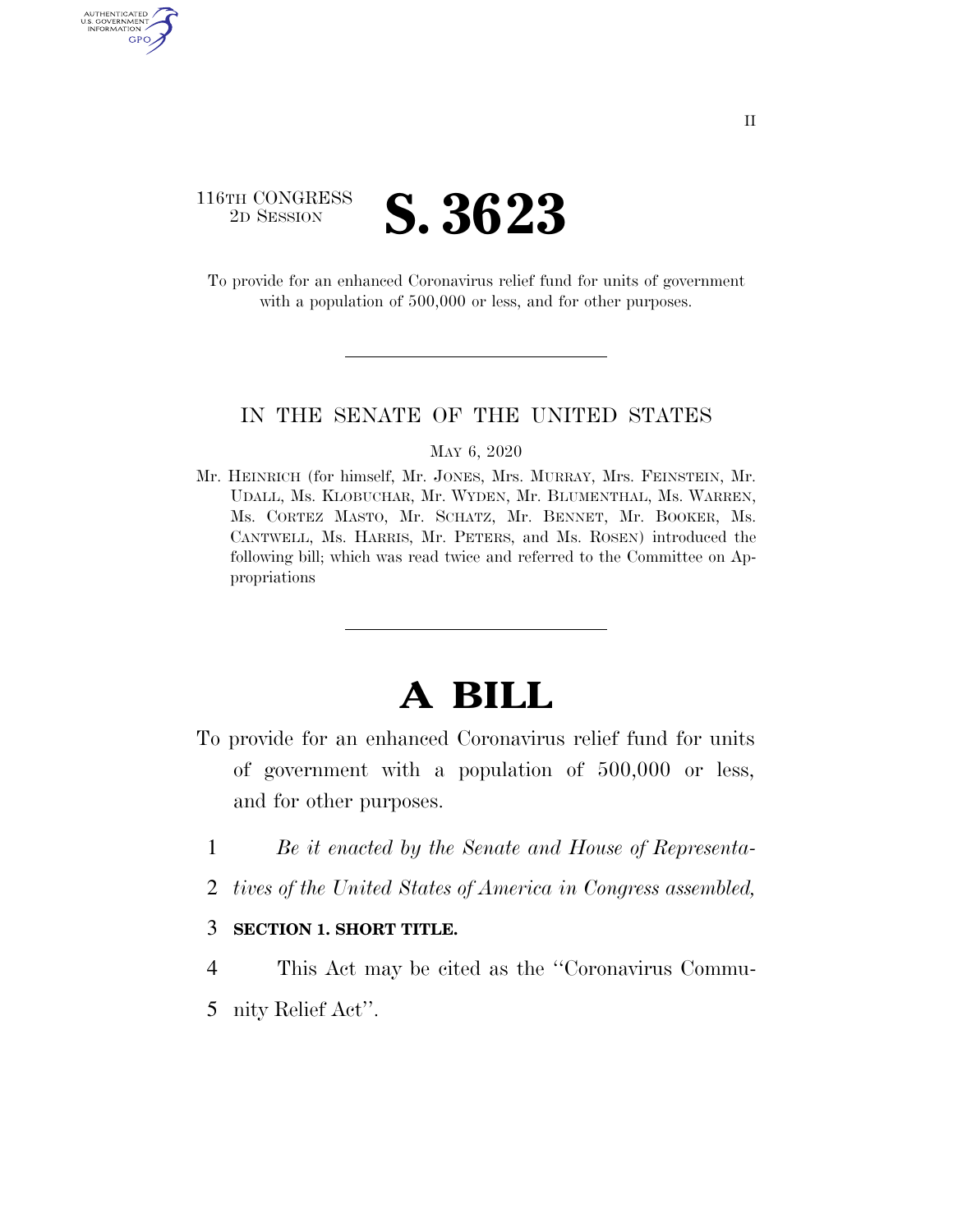

AUTHENTICATE U.S. GOVERNMENT GPO

> To provide for an enhanced Coronavirus relief fund for units of government with a population of 500,000 or less, and for other purposes.

### IN THE SENATE OF THE UNITED STATES

#### MAY 6, 2020

Mr. HEINRICH (for himself, Mr. JONES, Mrs. MURRAY, Mrs. FEINSTEIN, Mr. UDALL, Ms. KLOBUCHAR, Mr. WYDEN, Mr. BLUMENTHAL, Ms. WARREN, Ms. CORTEZ MASTO, Mr. SCHATZ, Mr. BENNET, Mr. BOOKER, Ms. CANTWELL, Ms. HARRIS, Mr. PETERS, and Ms. ROSEN) introduced the following bill; which was read twice and referred to the Committee on Appropriations

# **A BILL**

- To provide for an enhanced Coronavirus relief fund for units of government with a population of 500,000 or less, and for other purposes.
	- 1 *Be it enacted by the Senate and House of Representa-*
	- 2 *tives of the United States of America in Congress assembled,*
	- 3 **SECTION 1. SHORT TITLE.**
	- 4 This Act may be cited as the ''Coronavirus Commu-
	- 5 nity Relief Act''.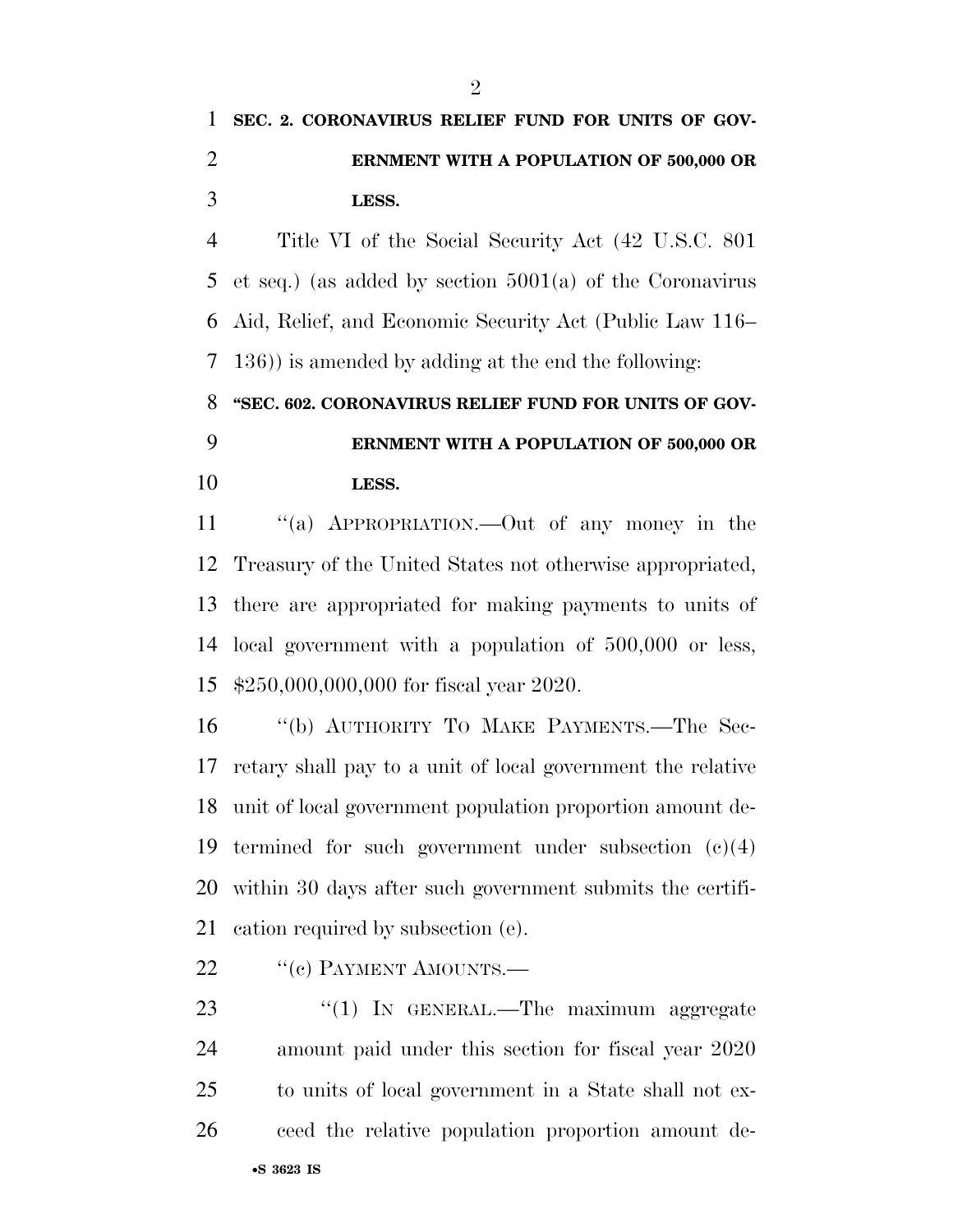## **SEC. 2. CORONAVIRUS RELIEF FUND FOR UNITS OF GOV- ERNMENT WITH A POPULATION OF 500,000 OR LESS.**

 Title VI of the Social Security Act (42 U.S.C. 801 et seq.) (as added by section 5001(a) of the Coronavirus Aid, Relief, and Economic Security Act (Public Law 116– 136)) is amended by adding at the end the following:

**''SEC. 602. CORONAVIRUS RELIEF FUND FOR UNITS OF GOV-**

## **ERNMENT WITH A POPULATION OF 500,000 OR LESS.**

 ''(a) APPROPRIATION.—Out of any money in the Treasury of the United States not otherwise appropriated, there are appropriated for making payments to units of local government with a population of 500,000 or less, \$250,000,000,000 for fiscal year 2020.

 ''(b) AUTHORITY TO MAKE PAYMENTS.—The Sec- retary shall pay to a unit of local government the relative unit of local government population proportion amount de-19 termined for such government under subsection  $(c)(4)$  within 30 days after such government submits the certifi-cation required by subsection (e).

- 22 "(c) PAYMENT AMOUNTS.—
- 23 "(1) In GENERAL.—The maximum aggregate amount paid under this section for fiscal year 2020 to units of local government in a State shall not ex-ceed the relative population proportion amount de-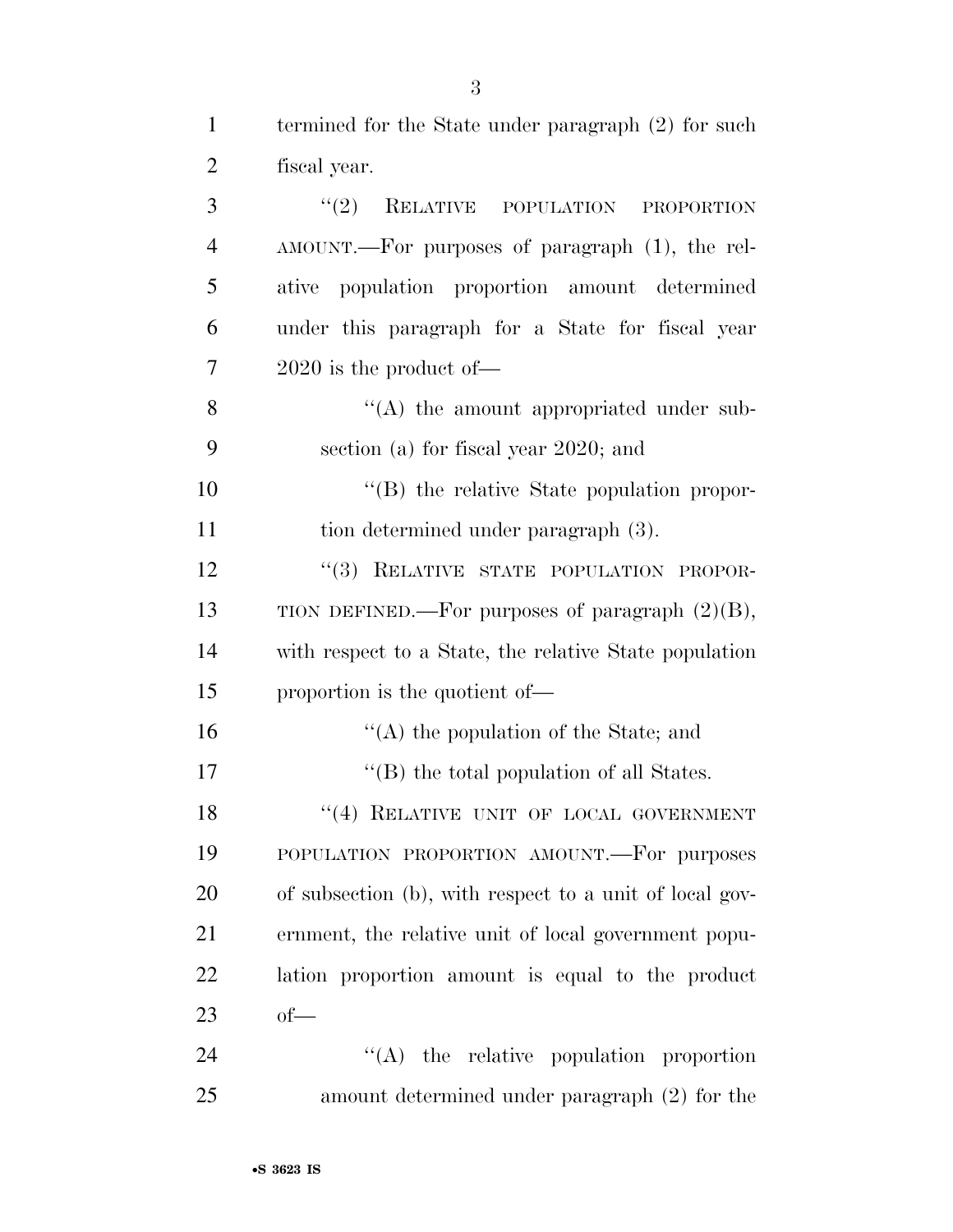| $\mathbf{1}$   | termined for the State under paragraph (2) for such     |
|----------------|---------------------------------------------------------|
| $\overline{2}$ | fiscal year.                                            |
| 3              | (2)<br>RELATIVE POPULATION<br><b>PROPORTION</b>         |
| $\overline{4}$ | AMOUNT.—For purposes of paragraph (1), the rel-         |
| 5              | ative population proportion amount determined           |
| 6              | under this paragraph for a State for fiscal year        |
| 7              | $2020$ is the product of —                              |
| 8              | $\lq\lq$ the amount appropriated under sub-             |
| 9              | section (a) for fiscal year 2020; and                   |
| 10             | "(B) the relative State population propor-              |
| 11             | tion determined under paragraph (3).                    |
| 12             | "(3) RELATIVE STATE POPULATION PROPOR-                  |
| 13             | TION DEFINED.—For purposes of paragraph $(2)(B)$ ,      |
| 14             | with respect to a State, the relative State population  |
| 15             | proportion is the quotient of—                          |
| 16             | $\lq\lq$ the population of the State; and               |
| 17             | $\lq\lq$ the total population of all States.            |
| 18             | "(4) RELATIVE UNIT OF LOCAL GOVERNMENT                  |
| 19             | POPULATION PROPORTION AMOUNT.-For purposes              |
| 20             | of subsection (b), with respect to a unit of local gov- |
| 21             | ernment, the relative unit of local government popu-    |
| 22             | lation proportion amount is equal to the product        |
| 23             | $of$ —                                                  |
| 24             | $\lq\lq$ the relative population proportion             |
| 25             | amount determined under paragraph (2) for the           |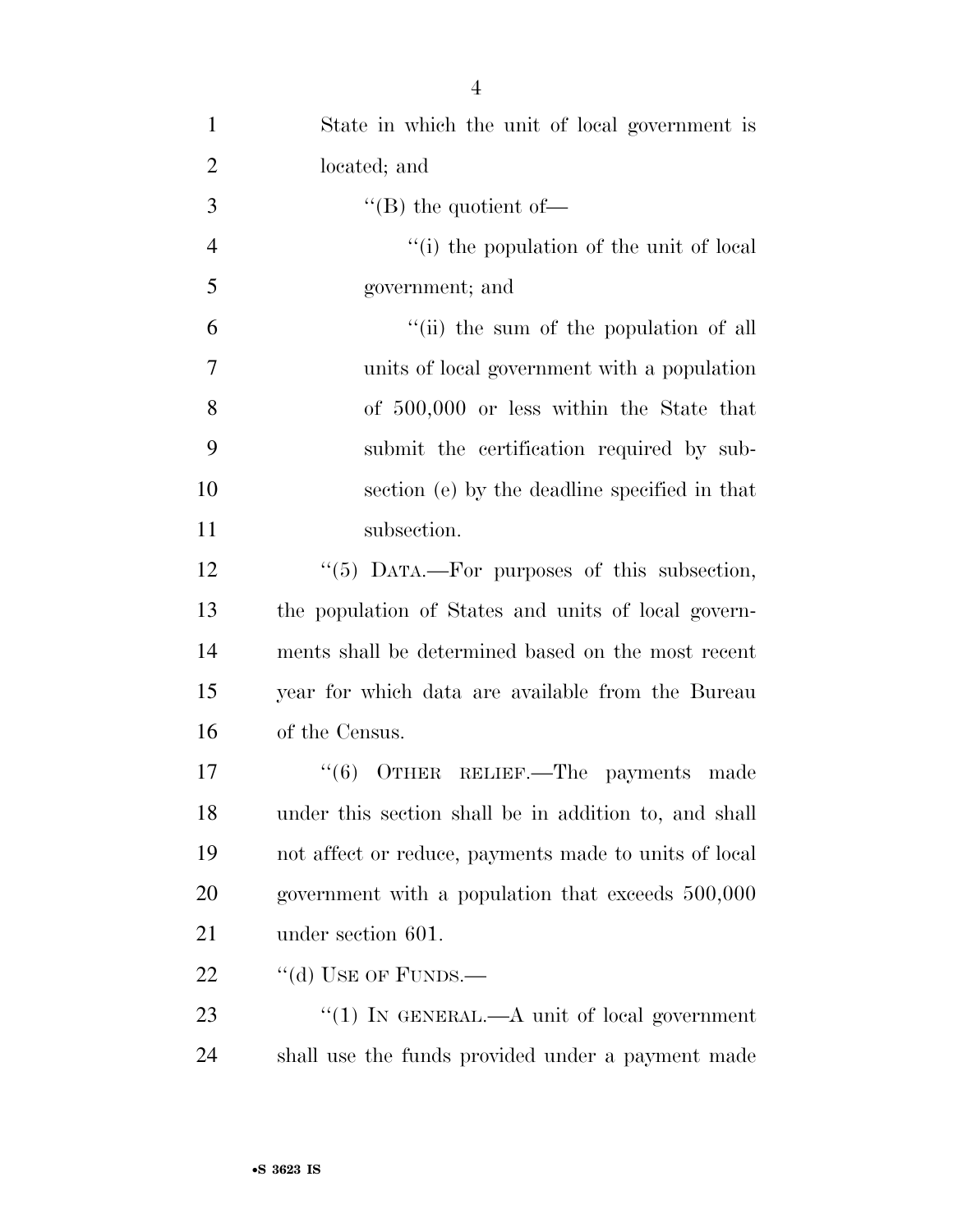| $\mathbf{1}$   | State in which the unit of local government is        |
|----------------|-------------------------------------------------------|
| $\overline{2}$ | located; and                                          |
| 3              | "(B) the quotient of-                                 |
| $\overline{4}$ | "(i) the population of the unit of local"             |
| 5              | government; and                                       |
| 6              | "(ii) the sum of the population of all                |
| 7              | units of local government with a population           |
| 8              | of 500,000 or less within the State that              |
| 9              | submit the certification required by sub-             |
| 10             | section (e) by the deadline specified in that         |
| 11             | subsection.                                           |
| 12             | "(5) DATA.—For purposes of this subsection,           |
| 13             | the population of States and units of local govern-   |
| 14             | ments shall be determined based on the most recent    |
| 15             | year for which data are available from the Bureau     |
| 16             | of the Census.                                        |
| 17             | "(6) OTHER RELIEF.—The payments made                  |
| 18             | under this section shall be in addition to, and shall |
| 19             | not affect or reduce, payments made to units of local |
| 20             | government with a population that exceeds 500,000     |
| 21             | under section 601.                                    |
| 22             | "(d) USE OF FUNDS.—                                   |
| 23             | "(1) IN GENERAL.—A unit of local government           |
| 24             | shall use the funds provided under a payment made     |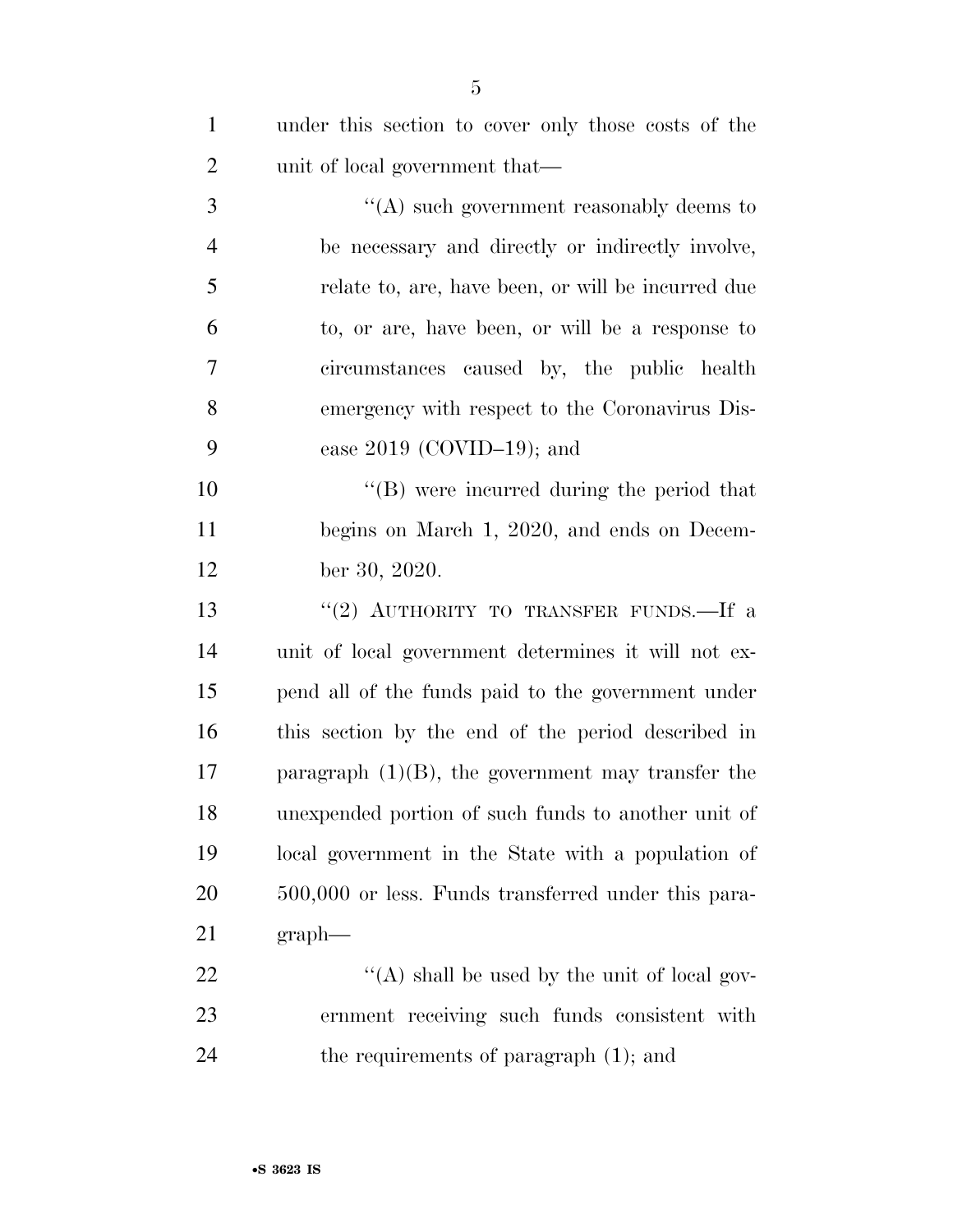| $\mathbf{1}$   | under this section to cover only those costs of the  |
|----------------|------------------------------------------------------|
| $\overline{2}$ | unit of local government that—                       |
| 3              | "(A) such government reasonably deems to             |
| $\overline{4}$ | be necessary and directly or indirectly involve,     |
| 5              | relate to, are, have been, or will be incurred due   |
| 6              | to, or are, have been, or will be a response to      |
| 7              | circumstances caused by, the public health           |
| 8              | emergency with respect to the Coronavirus Dis-       |
| 9              | ease $2019$ (COVID-19); and                          |
| 10             | $\lq\lq (B)$ were incurred during the period that    |
| 11             | begins on March 1, 2020, and ends on Decem-          |
| 12             | ber 30, 2020.                                        |
| 13             | "(2) AUTHORITY TO TRANSFER FUNDS.—If a               |
| 14             | unit of local government determines it will not ex-  |
| 15             | pend all of the funds paid to the government under   |
| 16             | this section by the end of the period described in   |
| 17             | paragraph $(1)(B)$ , the government may transfer the |
| 18             | unexpended portion of such funds to another unit of  |
| 19             | local government in the State with a population of   |
| 20             | 500,000 or less. Funds transferred under this para-  |
| 21             | graph                                                |
| 22             | "(A) shall be used by the unit of local gov-         |
| 23             | ernment receiving such funds consistent with         |
| 24             | the requirements of paragraph $(1)$ ; and            |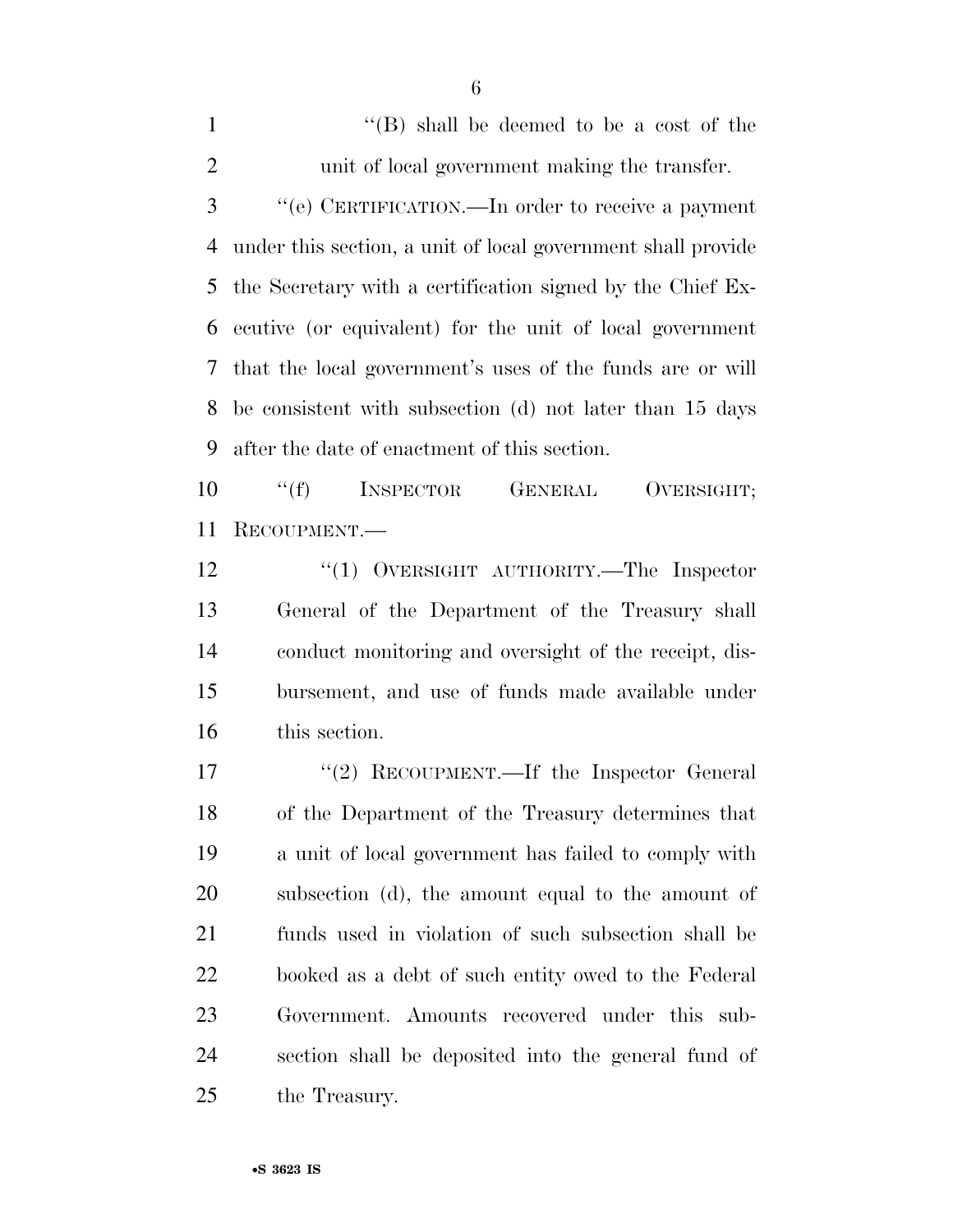1 ''(B) shall be deemed to be a cost of the unit of local government making the transfer. ''(e) CERTIFICATION.—In order to receive a payment under this section, a unit of local government shall provide the Secretary with a certification signed by the Chief Ex- ecutive (or equivalent) for the unit of local government that the local government's uses of the funds are or will be consistent with subsection (d) not later than 15 days after the date of enactment of this section.

10 "(f) INSPECTOR GENERAL OVERSIGHT; RECOUPMENT.—

12 "(1) OVERSIGHT AUTHORITY.—The Inspector General of the Department of the Treasury shall conduct monitoring and oversight of the receipt, dis- bursement, and use of funds made available under this section.

17 ''(2) RECOUPMENT.—If the Inspector General of the Department of the Treasury determines that a unit of local government has failed to comply with subsection (d), the amount equal to the amount of funds used in violation of such subsection shall be booked as a debt of such entity owed to the Federal Government. Amounts recovered under this sub- section shall be deposited into the general fund of the Treasury.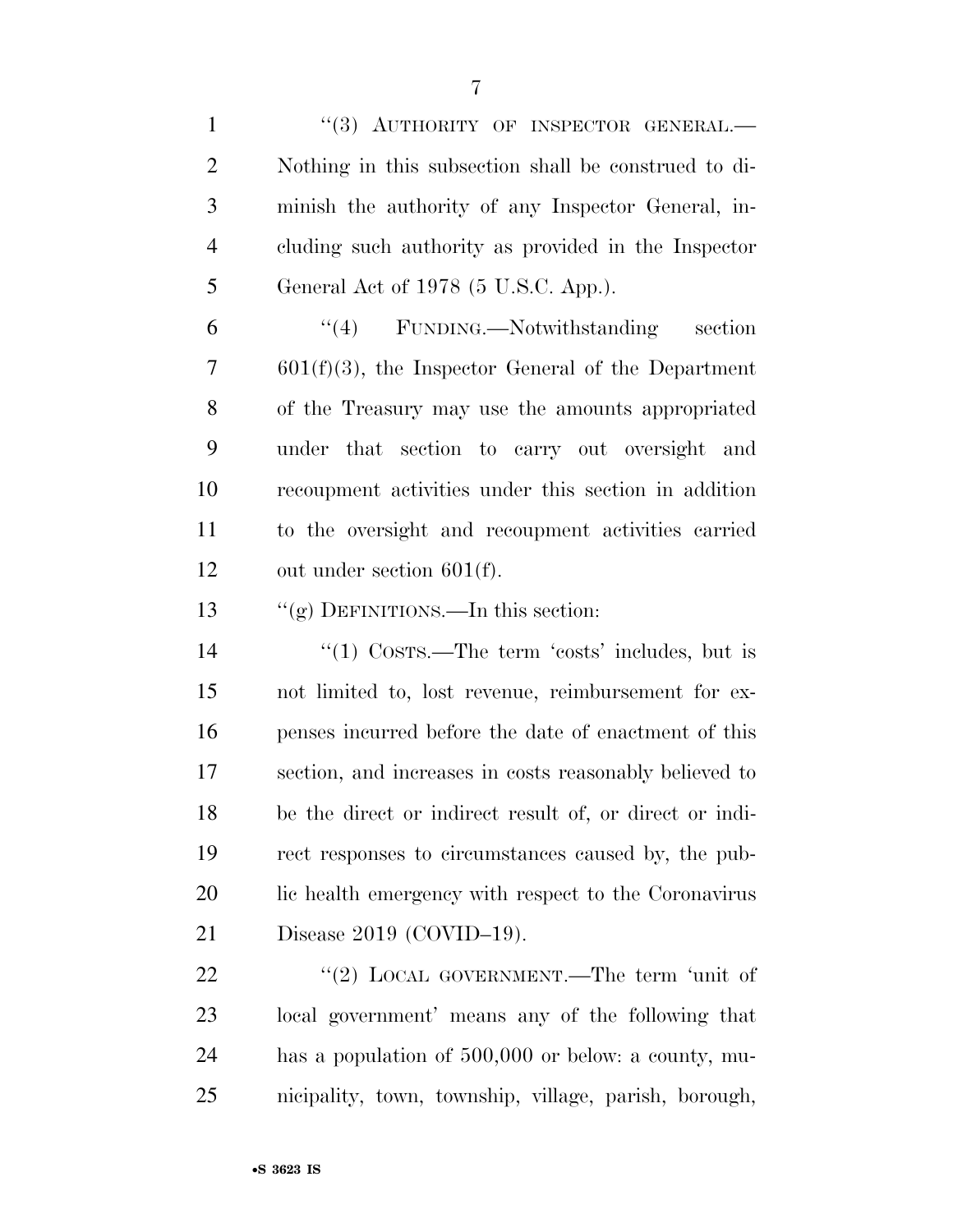1 "(3) AUTHORITY OF INSPECTOR GENERAL.— Nothing in this subsection shall be construed to di- minish the authority of any Inspector General, in- cluding such authority as provided in the Inspector General Act of 1978 (5 U.S.C. App.).

 ''(4) FUNDING.—Notwithstanding section 601(f)(3), the Inspector General of the Department of the Treasury may use the amounts appropriated under that section to carry out oversight and recoupment activities under this section in addition to the oversight and recoupment activities carried out under section 601(f).

''(g) DEFINITIONS.—In this section:

14 ''(1) COSTS.—The term 'costs' includes, but is not limited to, lost revenue, reimbursement for ex- penses incurred before the date of enactment of this section, and increases in costs reasonably believed to be the direct or indirect result of, or direct or indi- rect responses to circumstances caused by, the pub- lic health emergency with respect to the Coronavirus Disease 2019 (COVID–19).

22 "(2) LOCAL GOVERNMENT.—The term 'unit of local government' means any of the following that has a population of 500,000 or below: a county, mu-nicipality, town, township, village, parish, borough,